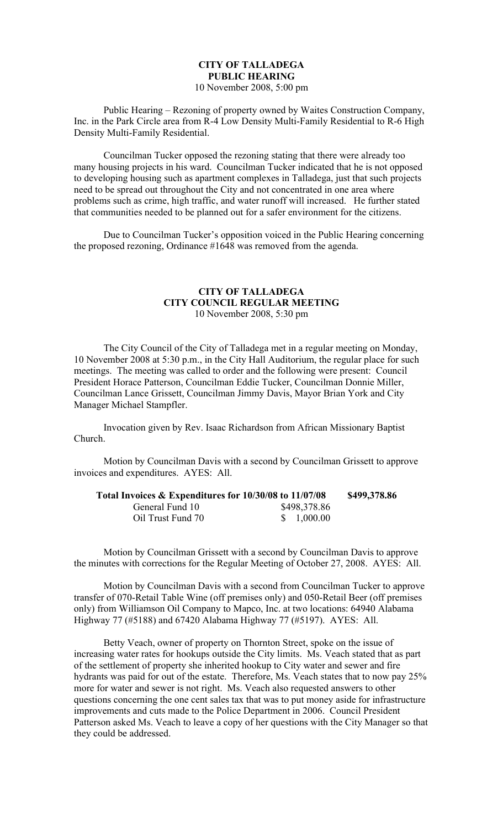## **CITY OF TALLADEGA PUBLIC HEARING**

10 November 2008, 5:00 pm

Public Hearing – Rezoning of property owned by Waites Construction Company, Inc. in the Park Circle area from R-4 Low Density Multi-Family Residential to R-6 High Density Multi-Family Residential.

Councilman Tucker opposed the rezoning stating that there were already too many housing projects in his ward. Councilman Tucker indicated that he is not opposed to developing housing such as apartment complexes in Talladega, just that such projects need to be spread out throughout the City and not concentrated in one area where problems such as crime, high traffic, and water runoff will increased. He further stated that communities needed to be planned out for a safer environment for the citizens.

Due to Councilman Tucker's opposition voiced in the Public Hearing concerning the proposed rezoning, Ordinance #1648 was removed from the agenda.

## **CITY OF TALLADEGA CITY COUNCIL REGULAR MEETING** 10 November 2008, 5:30 pm

The City Council of the City of Talladega met in a regular meeting on Monday, 10 November 2008 at 5:30 p.m., in the City Hall Auditorium, the regular place for such meetings. The meeting was called to order and the following were present: Council President Horace Patterson, Councilman Eddie Tucker, Councilman Donnie Miller, Councilman Lance Grissett, Councilman Jimmy Davis, Mayor Brian York and City Manager Michael Stampfler.

Invocation given by Rev. Isaac Richardson from African Missionary Baptist Church.

Motion by Councilman Davis with a second by Councilman Grissett to approve invoices and expenditures. AYES: All.

| Total Invoices & Expenditures for 10/30/08 to 11/07/08 |              | \$499,378.86 |
|--------------------------------------------------------|--------------|--------------|
| General Fund 10                                        | \$498,378.86 |              |
| Oil Trust Fund 70                                      | \$1,000.00   |              |

Motion by Councilman Grissett with a second by Councilman Davis to approve the minutes with corrections for the Regular Meeting of October 27, 2008. AYES: All.

Motion by Councilman Davis with a second from Councilman Tucker to approve transfer of 070-Retail Table Wine (off premises only) and 050-Retail Beer (off premises only) from Williamson Oil Company to Mapco, Inc. at two locations: 64940 Alabama Highway 77 (#5188) and 67420 Alabama Highway 77 (#5197). AYES: All.

Betty Veach, owner of property on Thornton Street, spoke on the issue of increasing water rates for hookups outside the City limits. Ms. Veach stated that as part of the settlement of property she inherited hookup to City water and sewer and fire hydrants was paid for out of the estate. Therefore, Ms. Veach states that to now pay 25% more for water and sewer is not right. Ms. Veach also requested answers to other questions concerning the one cent sales tax that was to put money aside for infrastructure improvements and cuts made to the Police Department in 2006. Council President Patterson asked Ms. Veach to leave a copy of her questions with the City Manager so that they could be addressed.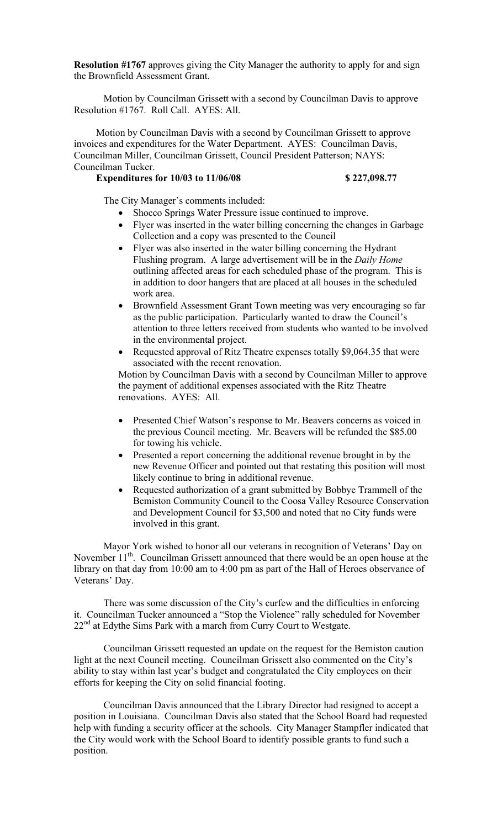**Resolution #1767** approves giving the City Manager the authority to apply for and sign the Brownfield Assessment Grant.

Motion by Councilman Grissett with a second by Councilman Davis to approve Resolution #1767. Roll Call. AYES: All.

Motion by Councilman Davis with a second by Councilman Grissett to approve invoices and expenditures for the Water Department. AYES: Councilman Davis, Councilman Miller, Councilman Grissett, Council President Patterson; NAYS: Councilman Tucker.

## **Expenditures for 10/03 to 11/06/08** \$ 227,098.77

The City Manager's comments included:

- Shocco Springs Water Pressure issue continued to improve.
- Flyer was inserted in the water billing concerning the changes in Garbage Collection and a copy was presented to the Council
- Flyer was also inserted in the water billing concerning the Hydrant Flushing program. A large advertisement will be in the *Daily Home* outlining affected areas for each scheduled phase of the program. This is in addition to door hangers that are placed at all houses in the scheduled work area.
- Brownfield Assessment Grant Town meeting was very encouraging so far as the public participation. Particularly wanted to draw the Council's attention to three letters received from students who wanted to be involved in the environmental project.
- Requested approval of Ritz Theatre expenses totally \$9,064.35 that were associated with the recent renovation.

Motion by Councilman Davis with a second by Councilman Miller to approve the payment of additional expenses associated with the Ritz Theatre renovations. AYES: All.

- Presented Chief Watson's response to Mr. Beavers concerns as voiced in the previous Council meeting. Mr. Beavers will be refunded the \$85.00 for towing his vehicle.
- Presented a report concerning the additional revenue brought in by the new Revenue Officer and pointed out that restating this position will most likely continue to bring in additional revenue.
- Requested authorization of a grant submitted by Bobbye Trammell of the Bemiston Community Council to the Coosa Valley Resource Conservation and Development Council for \$3,500 and noted that no City funds were involved in this grant.

Mayor York wished to honor all our veterans in recognition of Veterans' Day on November 11<sup>th</sup>. Councilman Grissett announced that there would be an open house at the library on that day from 10:00 am to 4:00 pm as part of the Hall of Heroes observance of Veterans' Day.

There was some discussion of the City's curfew and the difficulties in enforcing it. Councilman Tucker announced a "Stop the Violence" rally scheduled for November 22<sup>nd</sup> at Edythe Sims Park with a march from Curry Court to Westgate.

Councilman Grissett requested an update on the request for the Bemiston caution light at the next Council meeting. Councilman Grissett also commented on the City's ability to stay within last year's budget and congratulated the City employees on their efforts for keeping the City on solid financial footing.

Councilman Davis announced that the Library Director had resigned to accept a position in Louisiana. Councilman Davis also stated that the School Board had requested help with funding a security officer at the schools. City Manager Stampfler indicated that the City would work with the School Board to identify possible grants to fund such a position.